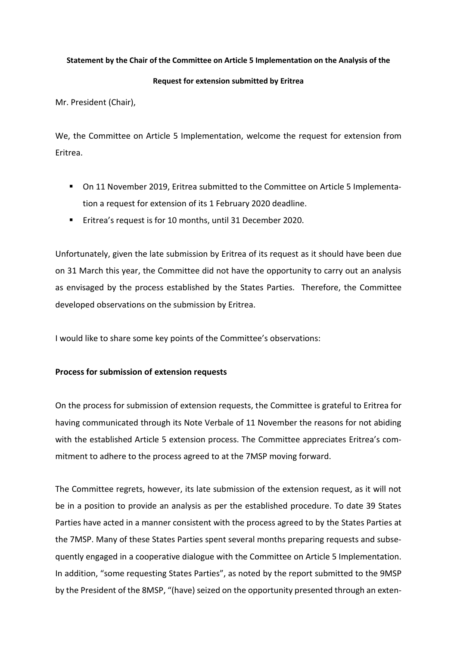## **Statement by the Chair of the Committee on Article 5 Implementation on the Analysis of the**

## **Request for extension submitted by Eritrea**

Mr. President (Chair),

We, the Committee on Article 5 Implementation, welcome the request for extension from Eritrea.

- On 11 November 2019, Eritrea submitted to the Committee on Article 5 Implementation a request for extension of its 1 February 2020 deadline.
- Eritrea's request is for 10 months, until 31 December 2020.

Unfortunately, given the late submission by Eritrea of its request as it should have been due on 31 March this year, the Committee did not have the opportunity to carry out an analysis as envisaged by the process established by the States Parties. Therefore, the Committee developed observations on the submission by Eritrea.

I would like to share some key points of the Committee's observations:

## **Process for submission of extension requests**

On the process for submission of extension requests, the Committee is grateful to Eritrea for having communicated through its Note Verbale of 11 November the reasons for not abiding with the established Article 5 extension process. The Committee appreciates Eritrea's commitment to adhere to the process agreed to at the 7MSP moving forward.

The Committee regrets, however, its late submission of the extension request, as it will not be in a position to provide an analysis as per the established procedure. To date 39 States Parties have acted in a manner consistent with the process agreed to by the States Parties at the 7MSP. Many of these States Parties spent several months preparing requests and subsequently engaged in a cooperative dialogue with the Committee on Article 5 Implementation. In addition, "some requesting States Parties", as noted by the report submitted to the 9MSP by the President of the 8MSP, "(have) seized on the opportunity presented through an exten